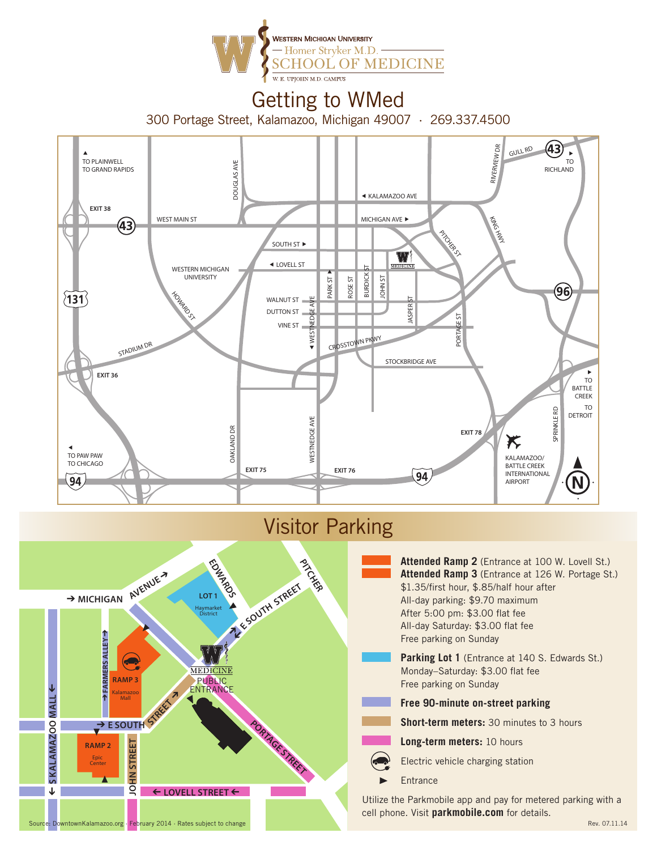

# Getting to WMed

300 Portage Street, Kalamazoo, Michigan 49007 · 269.337.4500



### Visitor Parking



**Attended Ramp 2** (Entrance at 100 W. Lovell St.) **Attended Ramp 3** (Entrance at 126 W. Portage St.) \$1.35/first hour, \$.85/half hour after All-day parking: \$9.70 maximum After 5:00 pm: \$3.00 flat fee All-day Saturday: \$3.00 flat fee Free parking on Sunday Parking Lot 1 (Entrance at 140 S. Edwards St.) Monday–Saturday: \$3.00 flat fee Free parking on Sunday **Free 90-minute on-street parking Short-term meters:** 30 minutes to 3 hours

- - **Long-term meters:** 10 hours
	- Electric vehicle charging station
- **Entrance**

Utilize the Parkmobile app and pay for metered parking with a cell phone. Visit **parkmobile.com** for details.